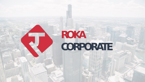# **ROKA CORPORATE**

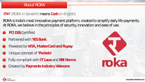### About ROKA

### **रोका** *(ROKA in Sanskrit) means Cash (in English)*

ROKA is India's most Innovative payment platform, created to simplify daily life payments. At ROKA, we believe in the principles of security, innovation and ease of use.

- **PCI DSS Certified**
- Partnered with **YES Bank**
- Powered by **VISA, MasterCard and Rupay**
- Unique concept of **'Pockets'**
- Fully compliant with **IT Laws** and **RBI Norms** Fully compliant with IT Laws and RBI Norms<br>
Created by Payments Industry Veterans<br>
TOKa
- 



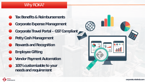### Why ROKA?

- **Tax Benefits & Reimbursements**
- **Corporate Expense Management**
- **Corporate Travel Portal – GST Compliant**
- **Petty Cash Management**
- **Rewards and Recognition**
- **Employee Gifting**
- **Vendor Payment Automation**
- **100% customizable to your needs and requirement**



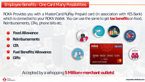### Employee Benefits - One Card Many Possibilities

- **Food Allowance**
- **Reimbursements**
- **LTA**
- **Fuel Benefits/Allowance Gifts**



ROKA Provides you with a MasterCard/RuPay Prepaid card (in association with YES Bank) which is connected to your ROKA Wallet. You can use the same to get **tax benefits** on food, Reimbursements, LTAs, phone bills etc.

### Accepted by a whopping **5 Million+ merchant outlets!**



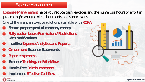### Expense Management

**Expense Management** helps you reduce cash leakages and the numerous hours of effort in processing/managing bills, documents and submissions.

- **Ensure proper spent of company money**
- **Fully customizable Permissions/Restrictions with Notifications**
- **Intuitive Expense Analytics and Reports**
- **On-demand Expense Statements**
- **Paperless process**

CORPORATE

- **Expense Tracking and Workflow**
- **Hassle-Free Reimbursements**
- **Implement Effective Cashflow**



One of the many innovative solutions available with **ROKA**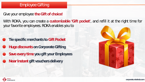### Employee Gifting

**Tie specific merchants to Gift Pocket Huge discounts on Corporate Gifting Save every time you gift your Employees Near Instant gift vouchers delivery**





Give your employee **the Gift of choice!**

With ROKA, you can create a **customizable 'Gift pocket'**, and refill it at the right time for your favorite employees. ROKA enables you to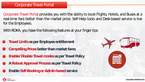### Corporate Travel Portal

- **Travel Limits as per Employee entitlement**
- **Compelling Prices better than market fares**
- **Enable/Disable Travel modes as per Travel Policy**
- **A Robust Approval Process as per Travel Policy**
	- **Enable Self-Booking or Admin-based service**





Corporate Travel Portal provides you with the ability to book Flights, Hotels, and Buses at a real-time fare better than the market price. Self-Help tools and Desk-based service is live for the Employees.

With ROKA, you have the following features at your finger tips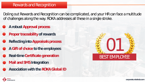### Rewards and Recognition

- **A robust Approval process**
- **Proper traceability of rewards**
- **Reflecting into Appraisals process**
- **A Gift of choice to the employees**
- **Real-time Certificate generation**
- **Mail and SMS Integration**
	- **Association with the ROKA Global ID**



Doling out Rewards and Recognition can be complicated, and your HR can face a multitude of challenges along the way. ROKA addresses all these in a single stroke.

## BEST EMPLOYEE 01